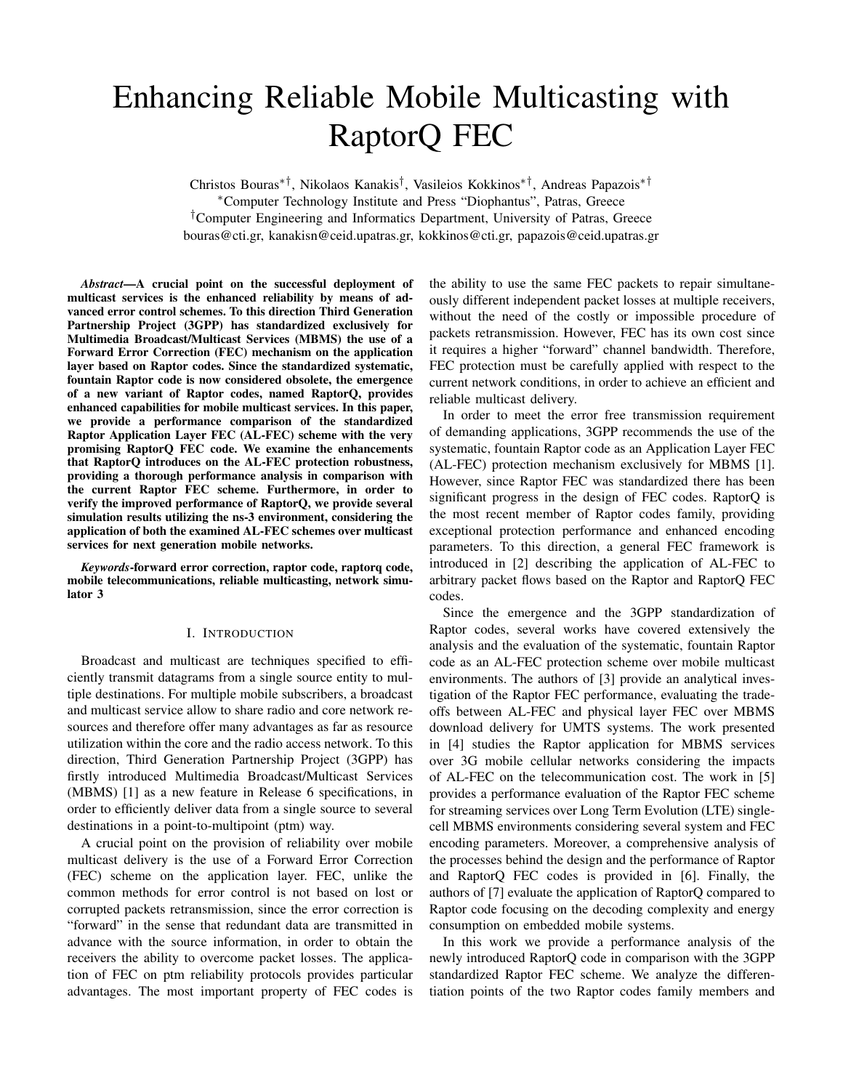# Enhancing Reliable Mobile Multicasting with RaptorQ FEC

Christos Bouras∗†, Nikolaos Kanakis† , Vasileios Kokkinos∗†, Andreas Papazois∗† <sup>∗</sup>Computer Technology Institute and Press "Diophantus", Patras, Greece †Computer Engineering and Informatics Department, University of Patras, Greece bouras@cti.gr, kanakisn@ceid.upatras.gr, kokkinos@cti.gr, papazois@ceid.upatras.gr

*Abstract*—A crucial point on the successful deployment of multicast services is the enhanced reliability by means of advanced error control schemes. To this direction Third Generation Partnership Project (3GPP) has standardized exclusively for Multimedia Broadcast/Multicast Services (MBMS) the use of a Forward Error Correction (FEC) mechanism on the application layer based on Raptor codes. Since the standardized systematic, fountain Raptor code is now considered obsolete, the emergence of a new variant of Raptor codes, named RaptorQ, provides enhanced capabilities for mobile multicast services. In this paper, we provide a performance comparison of the standardized Raptor Application Layer FEC (AL-FEC) scheme with the very promising RaptorQ FEC code. We examine the enhancements that RaptorQ introduces on the AL-FEC protection robustness, providing a thorough performance analysis in comparison with the current Raptor FEC scheme. Furthermore, in order to verify the improved performance of RaptorQ, we provide several simulation results utilizing the ns-3 environment, considering the application of both the examined AL-FEC schemes over multicast services for next generation mobile networks.

*Keywords*-forward error correction, raptor code, raptorq code, mobile telecommunications, reliable multicasting, network simulator 3

#### I. INTRODUCTION

Broadcast and multicast are techniques specified to efficiently transmit datagrams from a single source entity to multiple destinations. For multiple mobile subscribers, a broadcast and multicast service allow to share radio and core network resources and therefore offer many advantages as far as resource utilization within the core and the radio access network. To this direction, Third Generation Partnership Project (3GPP) has firstly introduced Multimedia Broadcast/Multicast Services (MBMS) [1] as a new feature in Release 6 specifications, in order to efficiently deliver data from a single source to several destinations in a point-to-multipoint (ptm) way.

A crucial point on the provision of reliability over mobile multicast delivery is the use of a Forward Error Correction (FEC) scheme on the application layer. FEC, unlike the common methods for error control is not based on lost or corrupted packets retransmission, since the error correction is "forward" in the sense that redundant data are transmitted in advance with the source information, in order to obtain the receivers the ability to overcome packet losses. The application of FEC on ptm reliability protocols provides particular advantages. The most important property of FEC codes is the ability to use the same FEC packets to repair simultaneously different independent packet losses at multiple receivers, without the need of the costly or impossible procedure of packets retransmission. However, FEC has its own cost since it requires a higher "forward" channel bandwidth. Therefore, FEC protection must be carefully applied with respect to the current network conditions, in order to achieve an efficient and reliable multicast delivery.

In order to meet the error free transmission requirement of demanding applications, 3GPP recommends the use of the systematic, fountain Raptor code as an Application Layer FEC (AL-FEC) protection mechanism exclusively for MBMS [1]. However, since Raptor FEC was standardized there has been significant progress in the design of FEC codes. RaptorQ is the most recent member of Raptor codes family, providing exceptional protection performance and enhanced encoding parameters. To this direction, a general FEC framework is introduced in [2] describing the application of AL-FEC to arbitrary packet flows based on the Raptor and RaptorQ FEC codes.

Since the emergence and the 3GPP standardization of Raptor codes, several works have covered extensively the analysis and the evaluation of the systematic, fountain Raptor code as an AL-FEC protection scheme over mobile multicast environments. The authors of [3] provide an analytical investigation of the Raptor FEC performance, evaluating the tradeoffs between AL-FEC and physical layer FEC over MBMS download delivery for UMTS systems. The work presented in [4] studies the Raptor application for MBMS services over 3G mobile cellular networks considering the impacts of AL-FEC on the telecommunication cost. The work in [5] provides a performance evaluation of the Raptor FEC scheme for streaming services over Long Term Evolution (LTE) singlecell MBMS environments considering several system and FEC encoding parameters. Moreover, a comprehensive analysis of the processes behind the design and the performance of Raptor and RaptorQ FEC codes is provided in [6]. Finally, the authors of [7] evaluate the application of RaptorQ compared to Raptor code focusing on the decoding complexity and energy consumption on embedded mobile systems.

In this work we provide a performance analysis of the newly introduced RaptorQ code in comparison with the 3GPP standardized Raptor FEC scheme. We analyze the differentiation points of the two Raptor codes family members and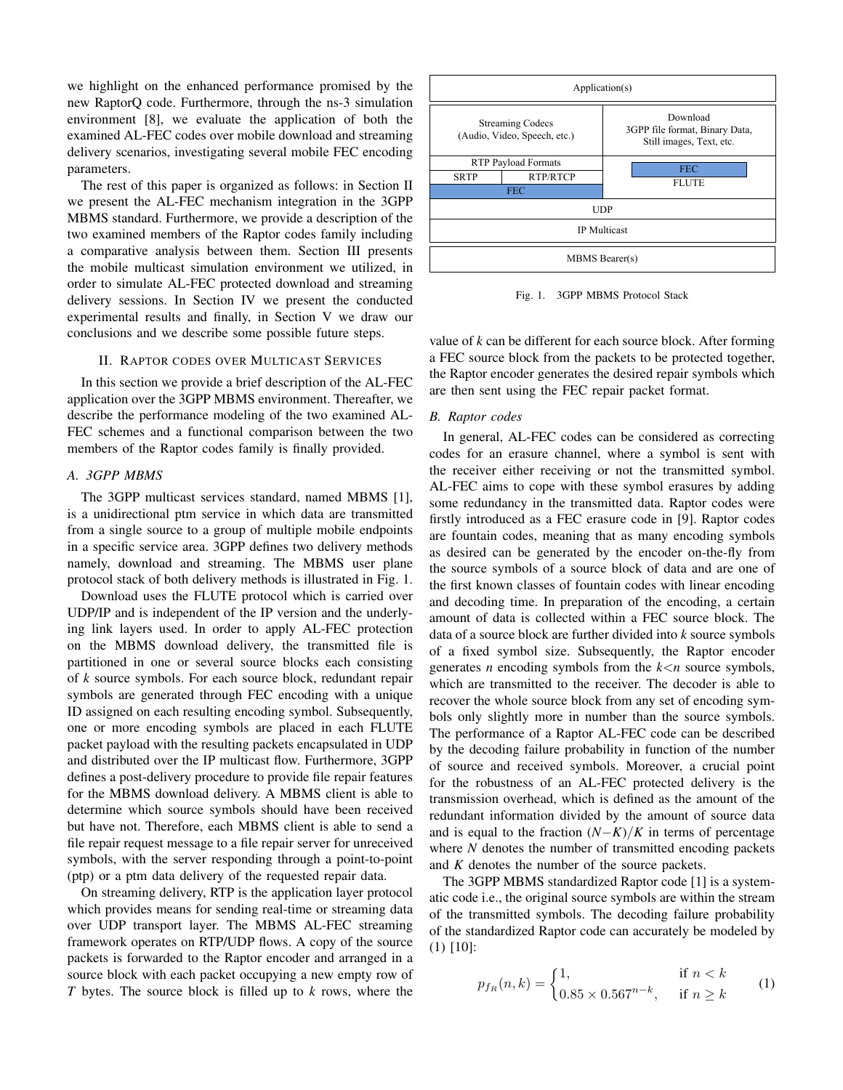we highlight on the enhanced performance promised by the new RaptorQ code. Furthermore, through the ns-3 simulation environment [8], we evaluate the application of both the examined AL-FEC codes over mobile download and streaming delivery scenarios, investigating several mobile FEC encoding parameters.

The rest of this paper is organized as follows: in Section II we present the AL-FEC mechanism integration in the 3GPP MBMS standard. Furthermore, we provide a description of the two examined members of the Raptor codes family including a comparative analysis between them. Section III presents the mobile multicast simulation environment we utilized, in order to simulate AL-FEC protected download and streaming delivery sessions. In Section IV we present the conducted experimental results and finally, in Section V we draw our conclusions and we describe some possible future steps.

#### II. RAPTOR CODES OVER MULTICAST SERVICES

In this section we provide a brief description of the AL-FEC application over the 3GPP MBMS environment. Thereafter, we describe the performance modeling of the two examined AL-FEC schemes and a functional comparison between the two members of the Raptor codes family is finally provided.

#### *A. 3GPP MBMS*

The 3GPP multicast services standard, named MBMS [1], is a unidirectional ptm service in which data are transmitted from a single source to a group of multiple mobile endpoints in a specific service area. 3GPP defines two delivery methods namely, download and streaming. The MBMS user plane protocol stack of both delivery methods is illustrated in Fig. 1.

Download uses the FLUTE protocol which is carried over UDP/IP and is independent of the IP version and the underlying link layers used. In order to apply AL-FEC protection on the MBMS download delivery, the transmitted file is partitioned in one or several source blocks each consisting of *k* source symbols. For each source block, redundant repair symbols are generated through FEC encoding with a unique ID assigned on each resulting encoding symbol. Subsequently, one or more encoding symbols are placed in each FLUTE packet payload with the resulting packets encapsulated in UDP and distributed over the IP multicast flow. Furthermore, 3GPP defines a post-delivery procedure to provide file repair features for the MBMS download delivery. A MBMS client is able to determine which source symbols should have been received but have not. Therefore, each MBMS client is able to send a file repair request message to a file repair server for unreceived symbols, with the server responding through a point-to-point (ptp) or a ptm data delivery of the requested repair data.

On streaming delivery, RTP is the application layer protocol which provides means for sending real-time or streaming data over UDP transport layer. The MBMS AL-FEC streaming framework operates on RTP/UDP flows. A copy of the source packets is forwarded to the Raptor encoder and arranged in a source block with each packet occupying a new empty row of *T* bytes. The source block is filled up to *k* rows, where the



Fig. 1. 3GPP MBMS Protocol Stack

value of *k* can be different for each source block. After forming a FEC source block from the packets to be protected together, the Raptor encoder generates the desired repair symbols which are then sent using the FEC repair packet format.

#### *B. Raptor codes*

In general, AL-FEC codes can be considered as correcting codes for an erasure channel, where a symbol is sent with the receiver either receiving or not the transmitted symbol. AL-FEC aims to cope with these symbol erasures by adding some redundancy in the transmitted data. Raptor codes were firstly introduced as a FEC erasure code in [9]. Raptor codes are fountain codes, meaning that as many encoding symbols as desired can be generated by the encoder on-the-fly from the source symbols of a source block of data and are one of the first known classes of fountain codes with linear encoding and decoding time. In preparation of the encoding, a certain amount of data is collected within a FEC source block. The data of a source block are further divided into *k* source symbols of a fixed symbol size. Subsequently, the Raptor encoder generates *n* encoding symbols from the *k*<*n* source symbols, which are transmitted to the receiver. The decoder is able to recover the whole source block from any set of encoding symbols only slightly more in number than the source symbols. The performance of a Raptor AL-FEC code can be described by the decoding failure probability in function of the number of source and received symbols. Moreover, a crucial point for the robustness of an AL-FEC protected delivery is the transmission overhead, which is defined as the amount of the redundant information divided by the amount of source data and is equal to the fraction  $(N−K)/K$  in terms of percentage where *N* denotes the number of transmitted encoding packets and *K* denotes the number of the source packets.

The 3GPP MBMS standardized Raptor code [1] is a systematic code i.e., the original source symbols are within the stream of the transmitted symbols. The decoding failure probability of the standardized Raptor code can accurately be modeled by (1) [10]:

$$
p_{f_R}(n,k) = \begin{cases} 1, & \text{if } n < k \\ 0.85 \times 0.567^{n-k}, & \text{if } n \ge k \end{cases} \tag{1}
$$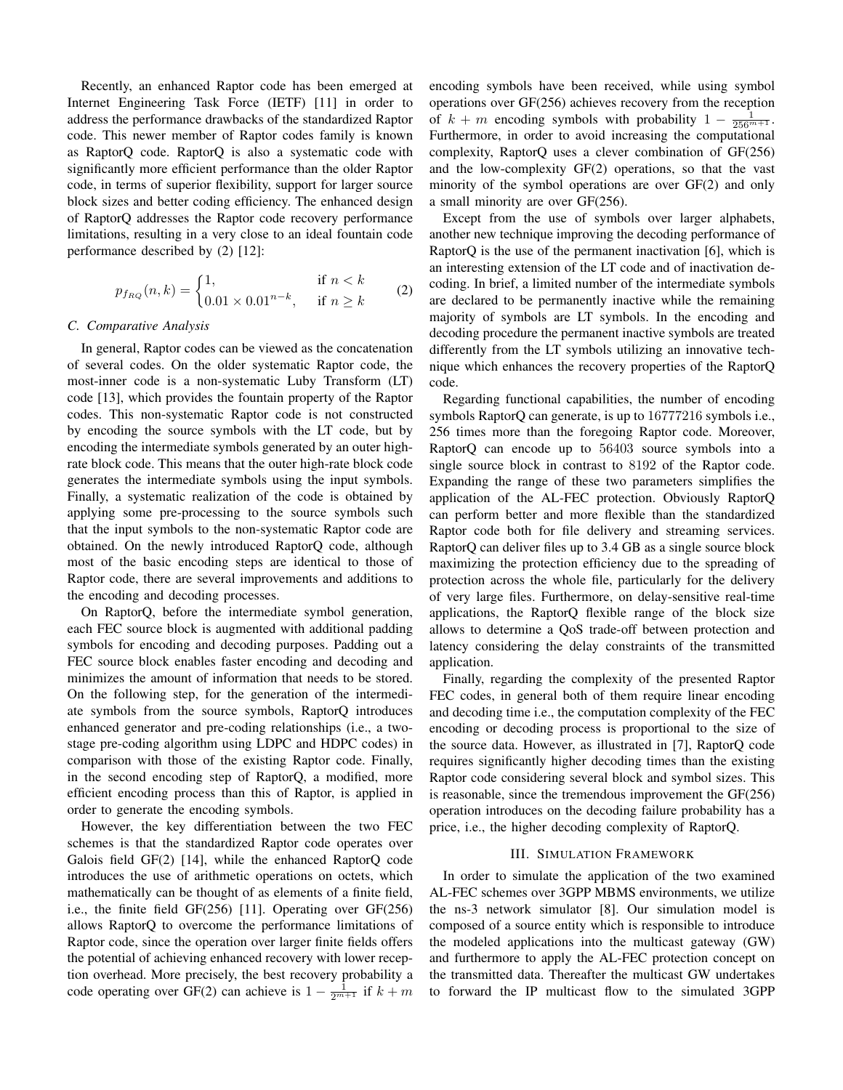Recently, an enhanced Raptor code has been emerged at Internet Engineering Task Force (IETF) [11] in order to address the performance drawbacks of the standardized Raptor code. This newer member of Raptor codes family is known as RaptorQ code. RaptorQ is also a systematic code with significantly more efficient performance than the older Raptor code, in terms of superior flexibility, support for larger source block sizes and better coding efficiency. The enhanced design of RaptorQ addresses the Raptor code recovery performance limitations, resulting in a very close to an ideal fountain code performance described by (2) [12]:

$$
p_{f_{RQ}}(n,k) = \begin{cases} 1, & \text{if } n < k \\ 0.01 \times 0.01^{n-k}, & \text{if } n \ge k \end{cases}
$$
 (2)

#### *C. Comparative Analysis*

In general, Raptor codes can be viewed as the concatenation of several codes. On the older systematic Raptor code, the most-inner code is a non-systematic Luby Transform (LT) code [13], which provides the fountain property of the Raptor codes. This non-systematic Raptor code is not constructed by encoding the source symbols with the LT code, but by encoding the intermediate symbols generated by an outer highrate block code. This means that the outer high-rate block code generates the intermediate symbols using the input symbols. Finally, a systematic realization of the code is obtained by applying some pre-processing to the source symbols such that the input symbols to the non-systematic Raptor code are obtained. On the newly introduced RaptorQ code, although most of the basic encoding steps are identical to those of Raptor code, there are several improvements and additions to the encoding and decoding processes.

On RaptorQ, before the intermediate symbol generation, each FEC source block is augmented with additional padding symbols for encoding and decoding purposes. Padding out a FEC source block enables faster encoding and decoding and minimizes the amount of information that needs to be stored. On the following step, for the generation of the intermediate symbols from the source symbols, RaptorQ introduces enhanced generator and pre-coding relationships (i.e., a twostage pre-coding algorithm using LDPC and HDPC codes) in comparison with those of the existing Raptor code. Finally, in the second encoding step of RaptorQ, a modified, more efficient encoding process than this of Raptor, is applied in order to generate the encoding symbols.

However, the key differentiation between the two FEC schemes is that the standardized Raptor code operates over Galois field GF(2) [14], while the enhanced RaptorQ code introduces the use of arithmetic operations on octets, which mathematically can be thought of as elements of a finite field, i.e., the finite field GF(256) [11]. Operating over GF(256) allows RaptorQ to overcome the performance limitations of Raptor code, since the operation over larger finite fields offers the potential of achieving enhanced recovery with lower reception overhead. More precisely, the best recovery probability a code operating over GF(2) can achieve is  $1 - \frac{1}{2^{m+1}}$  if  $k + m$  encoding symbols have been received, while using symbol operations over GF(256) achieves recovery from the reception of  $k + m$  encoding symbols with probability  $1 - \frac{1}{256^{m+1}}$ . Furthermore, in order to avoid increasing the computational complexity, RaptorQ uses a clever combination of GF(256) and the low-complexity GF(2) operations, so that the vast minority of the symbol operations are over GF(2) and only a small minority are over GF(256).

Except from the use of symbols over larger alphabets, another new technique improving the decoding performance of RaptorQ is the use of the permanent inactivation [6], which is an interesting extension of the LT code and of inactivation decoding. In brief, a limited number of the intermediate symbols are declared to be permanently inactive while the remaining majority of symbols are LT symbols. In the encoding and decoding procedure the permanent inactive symbols are treated differently from the LT symbols utilizing an innovative technique which enhances the recovery properties of the RaptorQ code.

Regarding functional capabilities, the number of encoding symbols RaptorQ can generate, is up to 16777216 symbols i.e., 256 times more than the foregoing Raptor code. Moreover, RaptorQ can encode up to 56403 source symbols into a single source block in contrast to 8192 of the Raptor code. Expanding the range of these two parameters simplifies the application of the AL-FEC protection. Obviously RaptorQ can perform better and more flexible than the standardized Raptor code both for file delivery and streaming services. RaptorQ can deliver files up to 3.4 GB as a single source block maximizing the protection efficiency due to the spreading of protection across the whole file, particularly for the delivery of very large files. Furthermore, on delay-sensitive real-time applications, the RaptorQ flexible range of the block size allows to determine a QoS trade-off between protection and latency considering the delay constraints of the transmitted application.

Finally, regarding the complexity of the presented Raptor FEC codes, in general both of them require linear encoding and decoding time i.e., the computation complexity of the FEC encoding or decoding process is proportional to the size of the source data. However, as illustrated in [7], RaptorQ code requires significantly higher decoding times than the existing Raptor code considering several block and symbol sizes. This is reasonable, since the tremendous improvement the GF(256) operation introduces on the decoding failure probability has a price, i.e., the higher decoding complexity of RaptorQ.

#### III. SIMULATION FRAMEWORK

In order to simulate the application of the two examined AL-FEC schemes over 3GPP MBMS environments, we utilize the ns-3 network simulator [8]. Our simulation model is composed of a source entity which is responsible to introduce the modeled applications into the multicast gateway (GW) and furthermore to apply the AL-FEC protection concept on the transmitted data. Thereafter the multicast GW undertakes to forward the IP multicast flow to the simulated 3GPP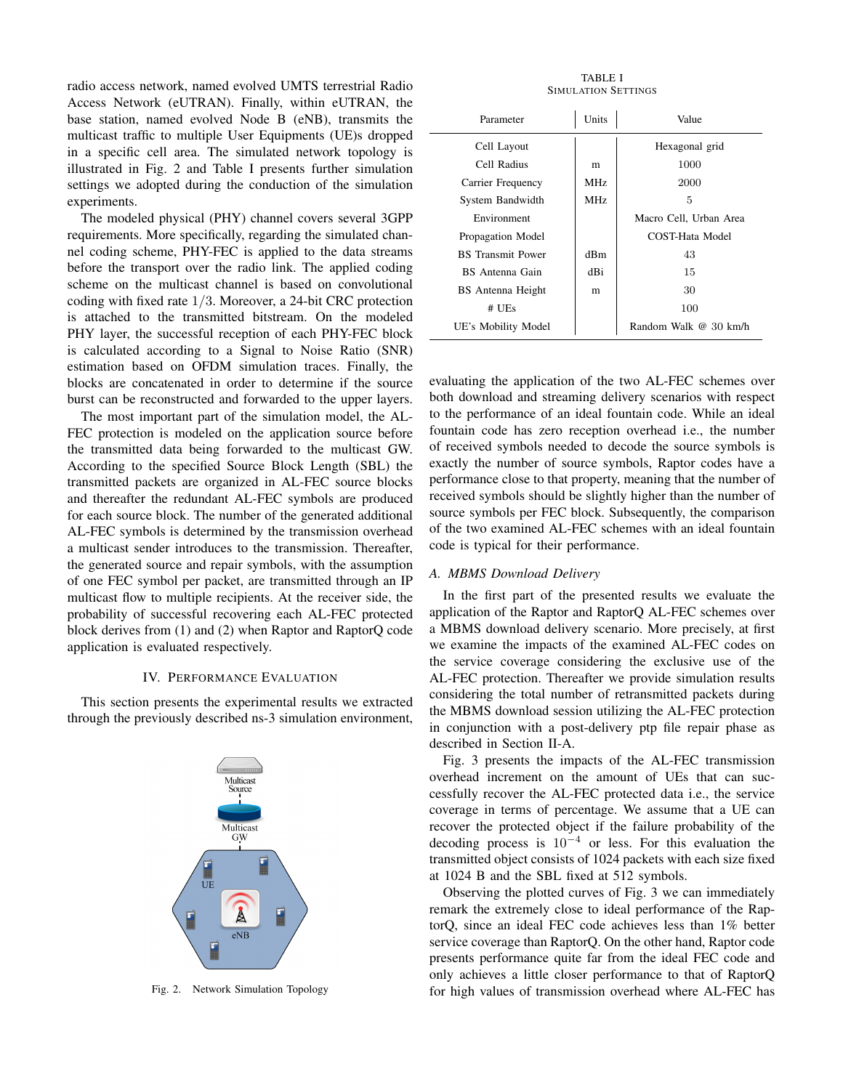radio access network, named evolved UMTS terrestrial Radio Access Network (eUTRAN). Finally, within eUTRAN, the base station, named evolved Node B (eNB), transmits the multicast traffic to multiple User Equipments (UE)s dropped in a specific cell area. The simulated network topology is illustrated in Fig. 2 and Table I presents further simulation settings we adopted during the conduction of the simulation experiments.

The modeled physical (PHY) channel covers several 3GPP requirements. More specifically, regarding the simulated channel coding scheme, PHY-FEC is applied to the data streams before the transport over the radio link. The applied coding scheme on the multicast channel is based on convolutional coding with fixed rate 1/3. Moreover, a 24-bit CRC protection is attached to the transmitted bitstream. On the modeled PHY layer, the successful reception of each PHY-FEC block is calculated according to a Signal to Noise Ratio (SNR) estimation based on OFDM simulation traces. Finally, the blocks are concatenated in order to determine if the source burst can be reconstructed and forwarded to the upper layers.

The most important part of the simulation model, the AL-FEC protection is modeled on the application source before the transmitted data being forwarded to the multicast GW. According to the specified Source Block Length (SBL) the transmitted packets are organized in AL-FEC source blocks and thereafter the redundant AL-FEC symbols are produced for each source block. The number of the generated additional AL-FEC symbols is determined by the transmission overhead a multicast sender introduces to the transmission. Thereafter, the generated source and repair symbols, with the assumption of one FEC symbol per packet, are transmitted through an IP multicast flow to multiple recipients. At the receiver side, the probability of successful recovering each AL-FEC protected block derives from (1) and (2) when Raptor and RaptorQ code application is evaluated respectively.

#### IV. PERFORMANCE EVALUATION

This section presents the experimental results we extracted through the previously described ns-3 simulation environment,



Fig. 2. Network Simulation Topology

TABLE I SIMULATION SETTINGS

| Parameter                | Units | Value                  |
|--------------------------|-------|------------------------|
| Cell Layout              |       | Hexagonal grid         |
| Cell Radius              | m     | 1000                   |
| Carrier Frequency        | MHz.  | 2000                   |
| System Bandwidth         | MHz.  | 5                      |
| Environment              |       | Macro Cell, Urban Area |
| Propagation Model        |       | COST-Hata Model        |
| <b>BS</b> Transmit Power | dBm   | 43                     |
| BS Antenna Gain          | dBi   | 15                     |
| BS Antenna Height        | m     | 30                     |
| # $UEs$                  |       | 100                    |
| UE's Mobility Model      |       | Random Walk @ 30 km/h  |

evaluating the application of the two AL-FEC schemes over both download and streaming delivery scenarios with respect to the performance of an ideal fountain code. While an ideal fountain code has zero reception overhead i.e., the number of received symbols needed to decode the source symbols is exactly the number of source symbols, Raptor codes have a performance close to that property, meaning that the number of received symbols should be slightly higher than the number of source symbols per FEC block. Subsequently, the comparison of the two examined AL-FEC schemes with an ideal fountain code is typical for their performance.

## *A. MBMS Download Delivery*

In the first part of the presented results we evaluate the application of the Raptor and RaptorQ AL-FEC schemes over a MBMS download delivery scenario. More precisely, at first we examine the impacts of the examined AL-FEC codes on the service coverage considering the exclusive use of the AL-FEC protection. Thereafter we provide simulation results considering the total number of retransmitted packets during the MBMS download session utilizing the AL-FEC protection in conjunction with a post-delivery ptp file repair phase as described in Section II-A.

Fig. 3 presents the impacts of the AL-FEC transmission overhead increment on the amount of UEs that can successfully recover the AL-FEC protected data i.e., the service coverage in terms of percentage. We assume that a UE can recover the protected object if the failure probability of the decoding process is 10<sup>−</sup><sup>4</sup> or less. For this evaluation the transmitted object consists of 1024 packets with each size fixed at 1024 B and the SBL fixed at 512 symbols.

Observing the plotted curves of Fig. 3 we can immediately remark the extremely close to ideal performance of the RaptorQ, since an ideal FEC code achieves less than 1% better service coverage than RaptorQ. On the other hand, Raptor code presents performance quite far from the ideal FEC code and only achieves a little closer performance to that of RaptorQ for high values of transmission overhead where AL-FEC has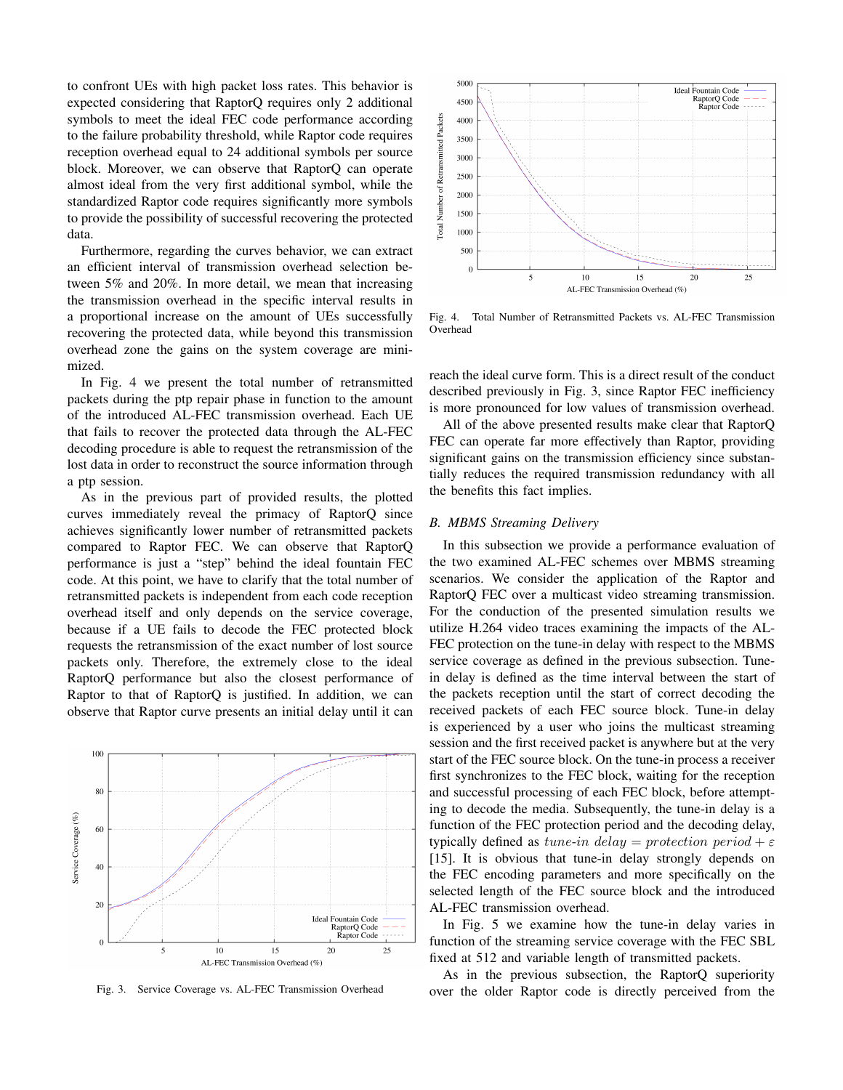to confront UEs with high packet loss rates. This behavior is expected considering that RaptorQ requires only 2 additional symbols to meet the ideal FEC code performance according to the failure probability threshold, while Raptor code requires reception overhead equal to 24 additional symbols per source block. Moreover, we can observe that RaptorQ can operate almost ideal from the very first additional symbol, while the standardized Raptor code requires significantly more symbols to provide the possibility of successful recovering the protected data.

Furthermore, regarding the curves behavior, we can extract an efficient interval of transmission overhead selection between 5% and 20%. In more detail, we mean that increasing the transmission overhead in the specific interval results in a proportional increase on the amount of UEs successfully recovering the protected data, while beyond this transmission overhead zone the gains on the system coverage are minimized.

In Fig. 4 we present the total number of retransmitted packets during the ptp repair phase in function to the amount of the introduced AL-FEC transmission overhead. Each UE that fails to recover the protected data through the AL-FEC decoding procedure is able to request the retransmission of the lost data in order to reconstruct the source information through a ptp session.

As in the previous part of provided results, the plotted curves immediately reveal the primacy of RaptorQ since achieves significantly lower number of retransmitted packets compared to Raptor FEC. We can observe that RaptorQ performance is just a "step" behind the ideal fountain FEC code. At this point, we have to clarify that the total number of retransmitted packets is independent from each code reception overhead itself and only depends on the service coverage, because if a UE fails to decode the FEC protected block requests the retransmission of the exact number of lost source packets only. Therefore, the extremely close to the ideal RaptorQ performance but also the closest performance of Raptor to that of RaptorQ is justified. In addition, we can observe that Raptor curve presents an initial delay until it can



Fig. 3. Service Coverage vs. AL-FEC Transmission Overhead



Fig. 4. Total Number of Retransmitted Packets vs. AL-FEC Transmission Overhead

reach the ideal curve form. This is a direct result of the conduct described previously in Fig. 3, since Raptor FEC inefficiency is more pronounced for low values of transmission overhead.

All of the above presented results make clear that RaptorQ FEC can operate far more effectively than Raptor, providing significant gains on the transmission efficiency since substantially reduces the required transmission redundancy with all the benefits this fact implies.

# *B. MBMS Streaming Delivery*

In this subsection we provide a performance evaluation of the two examined AL-FEC schemes over MBMS streaming scenarios. We consider the application of the Raptor and RaptorQ FEC over a multicast video streaming transmission. For the conduction of the presented simulation results we utilize H.264 video traces examining the impacts of the AL-FEC protection on the tune-in delay with respect to the MBMS service coverage as defined in the previous subsection. Tunein delay is defined as the time interval between the start of the packets reception until the start of correct decoding the received packets of each FEC source block. Tune-in delay is experienced by a user who joins the multicast streaming session and the first received packet is anywhere but at the very start of the FEC source block. On the tune-in process a receiver first synchronizes to the FEC block, waiting for the reception and successful processing of each FEC block, before attempting to decode the media. Subsequently, the tune-in delay is a function of the FEC protection period and the decoding delay, typically defined as tune-in delay = protection period +  $\varepsilon$ [15]. It is obvious that tune-in delay strongly depends on the FEC encoding parameters and more specifically on the selected length of the FEC source block and the introduced AL-FEC transmission overhead.

In Fig. 5 we examine how the tune-in delay varies in function of the streaming service coverage with the FEC SBL fixed at 512 and variable length of transmitted packets.

As in the previous subsection, the RaptorQ superiority over the older Raptor code is directly perceived from the